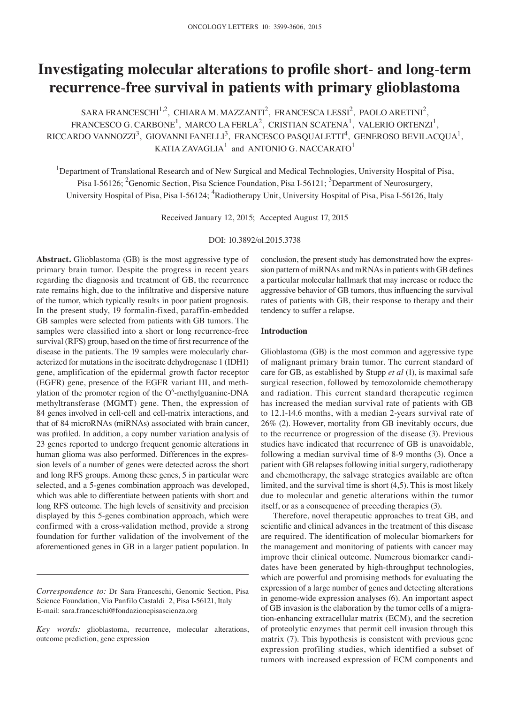# **Investigating molecular alterations to profile short**- **and long**-**term recurrence**-**free survival in patients with primary glioblastoma**

SARA FRANCESCHI<sup>1,2</sup>, CHIARA M. MAZZANTI<sup>2</sup>, FRANCESCA LESSI<sup>2</sup>, PAOLO ARETINI<sup>2</sup>, FRANCESCO G. CARBONE<sup>1</sup>, MARCO LA FERLA<sup>2</sup>, CRISTIAN SCATENA<sup>1</sup>, VALERIO ORTENZI<sup>1</sup>, RICCARDO VANNOZZI<sup>3</sup>, GIOVANNI FANELLI<sup>3</sup>, FRANCESCO PASQUALETTI<sup>4</sup>, GENEROSO BEVILACQUA<sup>1</sup>, KATIA ZAVAGLIA $^1$  and ANTONIO G. NACCARATO<sup>1</sup>

<sup>1</sup>Department of Translational Research and of New Surgical and Medical Technologies, University Hospital of Pisa, Pisa I-56126; <sup>2</sup>Genomic Section, Pisa Science Foundation, Pisa I-56121; <sup>3</sup>Department of Neurosurgery, University Hospital of Pisa, Pisa I-56124; <sup>4</sup>Radiotherapy Unit, University Hospital of Pisa, Pisa I-56126, Italy

Received January 12, 2015; Accepted August 17, 2015

DOI: 10.3892/ol.2015.3738

**Abstract.** Glioblastoma (GB) is the most aggressive type of primary brain tumor. Despite the progress in recent years regarding the diagnosis and treatment of GB, the recurrence rate remains high, due to the infiltrative and dispersive nature of the tumor, which typically results in poor patient prognosis. In the present study, 19 formalin-fixed, paraffin-embedded GB samples were selected from patients with GB tumors. The samples were classified into a short or long recurrence-free survival (RFS) group, based on the time of first recurrence of the disease in the patients. The 19 samples were molecularly characterized for mutations in the isocitrate dehydrogenase 1 (IDH1) gene, amplification of the epidermal growth factor receptor (EGFR) gene, presence of the EGFR variant III, and methylation of the promoter region of the O<sup>6</sup>-methylguanine-DNA methyltransferase (MGMT) gene. Then, the expression of 84 genes involved in cell-cell and cell-matrix interactions, and that of 84 microRNAs (miRNAs) associated with brain cancer, was profiled. In addition, a copy number variation analysis of 23 genes reported to undergo frequent genomic alterations in human glioma was also performed. Differences in the expression levels of a number of genes were detected across the short and long RFS groups. Among these genes, 5 in particular were selected, and a 5-genes combination approach was developed, which was able to differentiate between patients with short and long RFS outcome. The high levels of sensitivity and precision displayed by this 5-genes combination approach, which were confirmed with a cross-validation method, provide a strong foundation for further validation of the involvement of the aforementioned genes in GB in a larger patient population. In

conclusion, the present study has demonstrated how the expression pattern of miRNAs and mRNAs in patients with GB defines a particular molecular hallmark that may increase or reduce the aggressive behavior of GB tumors, thus influencing the survival rates of patients with GB, their response to therapy and their tendency to suffer a relapse.

## **Introduction**

Glioblastoma (GB) is the most common and aggressive type of malignant primary brain tumor. The current standard of care for GB, as established by Stupp *et al* (1), is maximal safe surgical resection, followed by temozolomide chemotherapy and radiation. This current standard therapeutic regimen has increased the median survival rate of patients with GB to 12.1-14.6 months, with a median 2-years survival rate of 26% (2). However, mortality from GB inevitably occurs, due to the recurrence or progression of the disease (3). Previous studies have indicated that recurrence of GB is unavoidable, following a median survival time of 8-9 months (3). Once a patient with GB relapses following initial surgery, radiotherapy and chemotherapy, the salvage strategies available are often limited, and the survival time is short (4,5). This is most likely due to molecular and genetic alterations within the tumor itself, or as a consequence of preceding therapies (3).

Therefore, novel therapeutic approaches to treat GB, and scientific and clinical advances in the treatment of this disease are required. The identification of molecular biomarkers for the management and monitoring of patients with cancer may improve their clinical outcome. Numerous biomarker candidates have been generated by high-throughput technologies, which are powerful and promising methods for evaluating the expression of a large number of genes and detecting alterations in genome-wide expression analyses (6). An important aspect of GB invasion is the elaboration by the tumor cells of a migration-enhancing extracellular matrix (ECM), and the secretion of proteolytic enzymes that permit cell invasion through this matrix (7). This hypothesis is consistent with previous gene expression profiling studies, which identified a subset of tumors with increased expression of ECM components and

*Correspondence to:* Dr Sara Franceschi, Genomic Section, Pisa Science Foundation, Via Panfilo Castaldi 2, Pisa I-56121, Italy E-mail: sara.franceschi@fondazionepisascienza.org

*Key words:* glioblastoma, recurrence, molecular alterations, outcome prediction, gene expression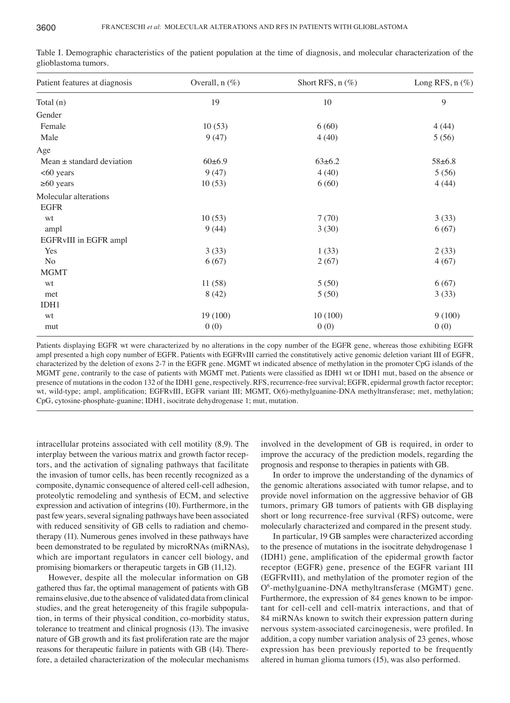$\overline{a}$ 

| Patient features at diagnosis | Overall, $n$ (%) | Short RFS, $n$ $(\%)$ | Long RFS, $n$ $(\%)$ |  |
|-------------------------------|------------------|-----------------------|----------------------|--|
| Total $(n)$                   | 19               | 10                    | 9                    |  |
| Gender                        |                  |                       |                      |  |
| Female                        | 10(53)           | 6(60)                 | 4(44)                |  |
| Male                          | 9(47)            | 4(40)                 | 5(56)                |  |
| Age                           |                  |                       |                      |  |
| Mean $\pm$ standard deviation | 60±6.9           | $63 \pm 6.2$          | $58 + 6.8$           |  |
| $<60$ years                   | 9(47)            | 4(40)                 | 5(56)                |  |
| $\geq 60$ years               | 10(53)           | 6(60)                 | 4(44)                |  |
| Molecular alterations         |                  |                       |                      |  |
| <b>EGFR</b>                   |                  |                       |                      |  |
| wt                            | 10(53)           | 7(70)                 | 3(33)                |  |
| ampl                          | 9(44)            | 3(30)                 | 6(67)                |  |
| EGFRvIII in EGFR ampl         |                  |                       |                      |  |
| Yes                           | 3(33)            | 1(33)                 | 2(33)                |  |
| No                            | 6(67)            | 2(67)                 | 4(67)                |  |
| <b>MGMT</b>                   |                  |                       |                      |  |
| wt                            | 11(58)           | 5(50)                 | 6(67)                |  |
| met                           | 8(42)            | 5(50)                 | 3(33)                |  |
| IDH1                          |                  |                       |                      |  |
| wt                            | 19(100)          | 10(100)               | 9(100)               |  |
| mut                           | 0(0)             | 0(0)                  | 0(0)                 |  |

Table I. Demographic characteristics of the patient population at the time of diagnosis, and molecular characterization of the glioblastoma tumors.

Patients displaying EGFR wt were characterized by no alterations in the copy number of the EGFR gene, whereas those exhibiting EGFR ampl presented a high copy number of EGFR. Patients with EGFRvIII carried the constitutively active genomic deletion variant III of EGFR, characterized by the deletion of exons 2-7 in the EGFR gene. MGMT wt indicated absence of methylation in the promoter CpG islands of the MGMT gene, contrarily to the case of patients with MGMT met. Patients were classified as IDH1 wt or IDH1 mut, based on the absence or presence of mutations in the codon 132 of the IDH1 gene, respectively. RFS, recurrence-free survival; EGFR, epidermal growth factor receptor; wt, wild-type; ampl, amplification; EGFRvIII, EGFR variant III; MGMT, O(6)-methylguanine-DNA methyltransferase; met, methylation; CpG, cytosine-phosphate-guanine; IDH1, isocitrate dehydrogenase 1; mut, mutation.

intracellular proteins associated with cell motility (8,9). The interplay between the various matrix and growth factor receptors, and the activation of signaling pathways that facilitate the invasion of tumor cells, has been recently recognized as a composite, dynamic consequence of altered cell-cell adhesion, proteolytic remodeling and synthesis of ECM, and selective expression and activation of integrins (10). Furthermore, in the past few years, several signaling pathways have been associated with reduced sensitivity of GB cells to radiation and chemotherapy (11). Numerous genes involved in these pathways have been demonstrated to be regulated by microRNAs (miRNAs), which are important regulators in cancer cell biology, and promising biomarkers or therapeutic targets in GB (11,12).

However, despite all the molecular information on GB gathered thus far, the optimal management of patients with GB remains elusive, due to the absence of validated data from clinical studies, and the great heterogeneity of this fragile subpopulation, in terms of their physical condition, co-morbidity status, tolerance to treatment and clinical prognosis (13). The invasive nature of GB growth and its fast proliferation rate are the major reasons for therapeutic failure in patients with GB (14). Therefore, a detailed characterization of the molecular mechanisms

involved in the development of GB is required, in order to improve the accuracy of the prediction models, regarding the prognosis and response to therapies in patients with GB.

In order to improve the understanding of the dynamics of the genomic alterations associated with tumor relapse, and to provide novel information on the aggressive behavior of GB tumors, primary GB tumors of patients with GB displaying short or long recurrence-free survival (RFS) outcome, were molecularly characterized and compared in the present study.

In particular, 19 GB samples were characterized according to the presence of mutations in the isocitrate dehydrogenase 1 (IDH1) gene, amplification of the epidermal growth factor receptor (EGFR) gene, presence of the EGFR variant III (EGFRvIII), and methylation of the promoter region of the O6 -methylguanine-DNA methyltransferase (MGMT) gene. Furthermore, the expression of 84 genes known to be important for cell-cell and cell-matrix interactions, and that of 84 miRNAs known to switch their expression pattern during nervous system-associated carcinogenesis, were profiled. In addition, a copy number variation analysis of 23 genes, whose expression has been previously reported to be frequently altered in human glioma tumors (15), was also performed.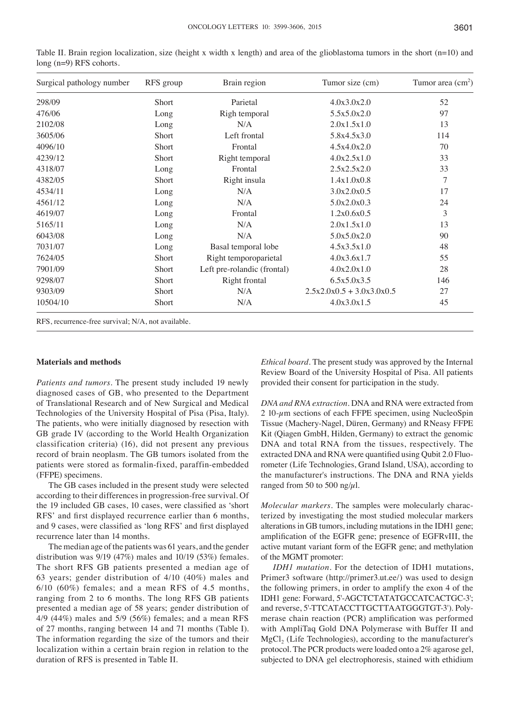| Surgical pathology number | RFS group    | Brain region                | Tumor size (cm)             | Tumor area $\text{cm}^2$ ) |
|---------------------------|--------------|-----------------------------|-----------------------------|----------------------------|
| 298/09                    | Short        | Parietal                    | 4.0x3.0x2.0                 | 52                         |
| 476/06                    | Long         | Righ temporal               | 5.5x5.0x2.0                 | 97                         |
| 2102/08                   | Long         | N/A                         | 2.0x1.5x1.0                 | 13                         |
| 3605/06                   | Short        | Left frontal                | 5.8x4.5x3.0                 | 114                        |
| 4096/10                   | <b>Short</b> | Frontal                     | 4.5x4.0x2.0                 | 70                         |
| 4239/12                   | Short        | Right temporal              | 4.0x2.5x1.0                 | 33                         |
| 4318/07                   | Long         | Frontal                     | 2.5x2.5x2.0                 | 33                         |
| 4382/05                   | Short        | Right insula                | 1.4x1.0x0.8                 | 7                          |
| 4534/11                   | Long         | N/A                         | 3.0x2.0x0.5                 | 17                         |
| 4561/12                   | Long         | N/A                         | 5.0x2.0x0.3                 | 24                         |
| 4619/07                   | Long         | Frontal                     | 1.2x0.6x0.5                 | 3                          |
| 5165/11                   | Long         | N/A                         | 2.0x1.5x1.0                 | 13                         |
| 6043/08                   | Long         | N/A                         | 5.0x5.0x2.0                 | 90                         |
| 7031/07                   | Long         | Basal temporal lobe         | 4.5x3.5x1.0                 | 48                         |
| 7624/05                   | Short        | Right temporoparietal       | 4.0x3.6x1.7                 | 55                         |
| 7901/09                   | Short        | Left pre-rolandic (frontal) | 4.0x2.0x1.0                 | 28                         |
| 9298/07                   | <b>Short</b> | Right frontal               | 6.5x5.0x3.5                 | 146                        |
| 9303/09                   | Short        | N/A                         | $2.5x2.0x0.5 + 3.0x3.0x0.5$ | 27                         |
| 10504/10                  | Short        | N/A                         | 4.0x3.0x1.5                 | 45                         |

Table II. Brain region localization, size (height x width x length) and area of the glioblastoma tumors in the short (n=10) and long (n=9) RFS cohorts.

RFS, recurrence-free survival; N/A, not available.

### **Materials and methods**

1

*Patients and tumors.* The present study included 19 newly diagnosed cases of GB, who presented to the Department of Translational Research and of New Surgical and Medical Technologies of the University Hospital of Pisa (Pisa, Italy). The patients, who were initially diagnosed by resection with GB grade IV (according to the World Health Organization classification criteria) (16), did not present any previous record of brain neoplasm. The GB tumors isolated from the patients were stored as formalin-fixed, paraffin-embedded (FFPE) specimens.

The GB cases included in the present study were selected according to their differences in progression-free survival. Of the 19 included GB cases, 10 cases, were classified as 'short RFS' and first displayed recurrence earlier than 6 months, and 9 cases, were classified as 'long RFS' and first displayed recurrence later than 14 months.

The median age of the patients was 61 years, and the gender distribution was 9/19 (47%) males and 10/19 (53%) females. The short RFS GB patients presented a median age of 63 years; gender distribution of 4/10 (40%) males and 6/10 (60%) females; and a mean RFS of 4.5 months, ranging from 2 to 6 months. The long RFS GB patients presented a median age of 58 years; gender distribution of 4/9 (44%) males and 5/9 (56%) females; and a mean RFS of 27 months, ranging between 14 and 71 months (Table I). The information regarding the size of the tumors and their localization within a certain brain region in relation to the duration of RFS is presented in Table II.

*Ethical board.* The present study was approved by the Internal Review Board of the University Hospital of Pisa. All patients provided their consent for participation in the study.

*DNA and RNA extraction.* DNA and RNA were extracted from 2 10- $\mu$ m sections of each FFPE specimen, using NucleoSpin Tissue (Machery-Nagel, Düren, Germany) and RNeasy FFPE Kit (Qiagen GmbH, Hilden, Germany) to extract the genomic DNA and total RNA from the tissues, respectively. The extracted DNA and RNA were quantified using Qubit 2.0 Fluorometer (Life Technologies, Grand Island, USA), according to the manufacturer's instructions. The DNA and RNA yields ranged from 50 to 500 ng/ $\mu$ l.

*Molecular markers.* The samples were molecularly characterized by investigating the most studied molecular markers alterations in GB tumors, including mutations in the IDH1 gene; amplification of the EGFR gene; presence of EGFRvIII, the active mutant variant form of the EGFR gene; and methylation of the MGMT promoter:

*IDH1 mutation*. For the detection of IDH1 mutations, Primer3 software (http://primer3.ut.ee/) was used to design the following primers, in order to amplify the exon 4 of the IDH1 gene: Forward, 5'-AGCTCTATATGCCATCACTGC-3'; and reverse, 5'-TTCATACCTTGCTTAATGGGTGT-3'). Polymerase chain reaction (PCR) amplification was performed with AmpliTaq Gold DNA Polymerase with Buffer II and  $MgCl<sub>2</sub>$  (Life Technologies), according to the manufacturer's protocol. The PCR products were loaded onto a 2% agarose gel, subjected to DNA gel electrophoresis, stained with ethidium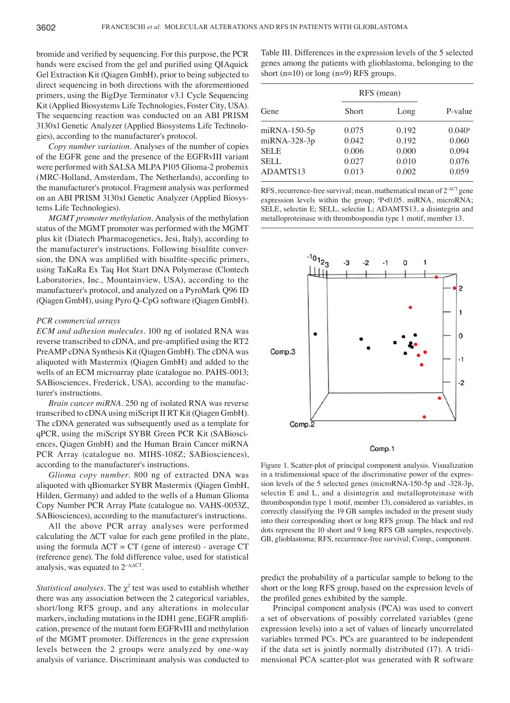<sup>-</sup>

bromide and verified by sequencing. For this purpose, the PCR bands were excised from the gel and purified using QIAquick Gel Extraction Kit (Qiagen GmbH), prior to being subjected to direct sequencing in both directions with the aforementioned primers, using the BigDye Terminator v3.1 Cycle Sequencing Kit (Applied Biosystems Life Technologies, Foster City, USA). The sequencing reaction was conducted on an ABI PRISM 3130xl Genetic Analyzer (Applied Biosystems Life Technologies), according to the manufacturer's protocol.

*Copy number variation*. Analyses of the number of copies of the EGFR gene and the presence of the EGFRvIII variant were performed with SALSA MLPA P105 Glioma-2 probemix (MRC-Holland, Amsterdam, The Netherlands), according to the manufacturer's protocol. Fragment analysis was performed on an ABI PRISM 3130xl Genetic Analyzer (Applied Biosystems Life Technologies).

*MGMT promoter methylation*. Analysis of the methylation status of the MGMT promoter was performed with the MGMT plus kit (Diatech Pharmacogenetics, Jesi, Italy), according to the manufacturer's instructions. Following bisulfite conversion, the DNA was amplified with bisulfite-specific primers, using TaKaRa Ex Taq Hot Start DNA Polymerase (Clontech Laboratories, Inc., Mountainview, USA), according to the manufacturer's protocol, and analyzed on a PyroMark Q96 ID (Qiagen GmbH), using Pyro Q-CpG software (Qiagen GmbH).

### *PCR commercial arrays*

*ECM and adhesion molecules.* 100 ng of isolated RNA was reverse transcribed to cDNA, and pre-amplified using the RT2 PreAMP cDNA Synthesis Kit (Qiagen GmbH). The cDNA was aliquoted with Mastermix (Qiagen GmbH) and added to the wells of an ECM microarray plate (catalogue no. PAHS-0013; SABiosciences, Frederick, USA), according to the manufacturer's instructions.

*Brain cancer miRNA.* 250 ng of isolated RNA was reverse transcribed to cDNA using miScript II RT Kit (Qiagen GmbH). The cDNA generated was subsequently used as a template for qPCR, using the miScript SYBR Green PCR Kit (SABiosciences, Qiagen GmbH) and the Human Brain Cancer miRNA PCR Array (catalogue no. MIHS-108Z; SABiosciences), according to the manufacturer's instructions.

*Glioma copy number.* 800 ng of extracted DNA was aliquoted with qBiomarker SYBR Mastermix (Qiagen GmbH, Hilden, Germany) and added to the wells of a Human Glioma Copy Number PCR Array Plate (catalogue no. VAHS-0053Z, SABiosciences), according to the manufacturer's instructions.

All the above PCR array analyses were performed calculating the  $\Delta CT$  value for each gene profiled in the plate, using the formula  $\Delta CT = CT$  (gene of interest) - average CT (reference gene). The fold difference value, used for statistical analysis, was equated to  $2^{-\Delta\Delta CT}$ .

*Statistical analyses.* The  $\chi^2$  test was used to establish whether there was any association between the 2 categorical variables, short/long RFS group, and any alterations in molecular markers, including mutations in the IDH1 gene, EGFR amplification, presence of the mutant form EGFRvIII and methylation of the MGMT promoter. Differences in the gene expression levels between the 2 groups were analyzed by one-way analysis of variance. Discriminant analysis was conducted to Table III. Differences in the expression levels of the 5 selected genes among the patients with glioblastoma, belonging to the short (n=10) or long (n=9) RFS groups.

|                            | RFS (mean)   |       |                      |
|----------------------------|--------------|-------|----------------------|
| Gene                       | <b>Short</b> | Long  | P-value              |
| $m$ <sub>RNA</sub> -150-5p | 0.075        | 0.192 | $0.040$ <sup>a</sup> |
| miRNA-328-3p               | 0.042        | 0.192 | 0.060                |
| <b>SELE</b>                | 0.006        | 0.000 | 0.094                |
| <b>SELL</b>                | 0.027        | 0.010 | 0.076                |
| ADAMTS13                   | 0.013        | 0.002 | 0.059                |
|                            |              |       |                      |

RFS, recurrence-free survival; mean, mathematical mean of  $2^{\Delta C T}$  gene expression levels within the group;  $^{a}P<0.05$ . miRNA, microRNA; SELE, selectin E; SELL, selectin L; ADAMTS13, a disintegrin and metalloproteinase with thrombospondin type 1 motif, member 13.



#### Comp.1

Figure 1. Scatter-plot of principal component analysis. Visualization in a tridimensional space of the discriminative power of the expression levels of the 5 selected genes (microRNA-150-5p and -328-3p, selectin E and L, and a disintegrin and metalloproteinase with thrombospondin type 1 motif, member 13), considered as variables, in correctly classifying the 19 GB samples included in the present study into their corresponding short or long RFS group. The black and red dots represent the 10 short and 9 long RFS GB samples, respectively. GB, glioblastoma; RFS, recurrence-free survival; Comp., component.

predict the probability of a particular sample to belong to the short or the long RFS group, based on the expression levels of the profiled genes exhibited by the sample.

Principal component analysis (PCA) was used to convert a set of observations of possibly correlated variables (gene expression levels) into a set of values of linearly uncorrelated variables termed PCs. PCs are guaranteed to be independent if the data set is jointly normally distributed (17). A tridimensional PCA scatter-plot was generated with R software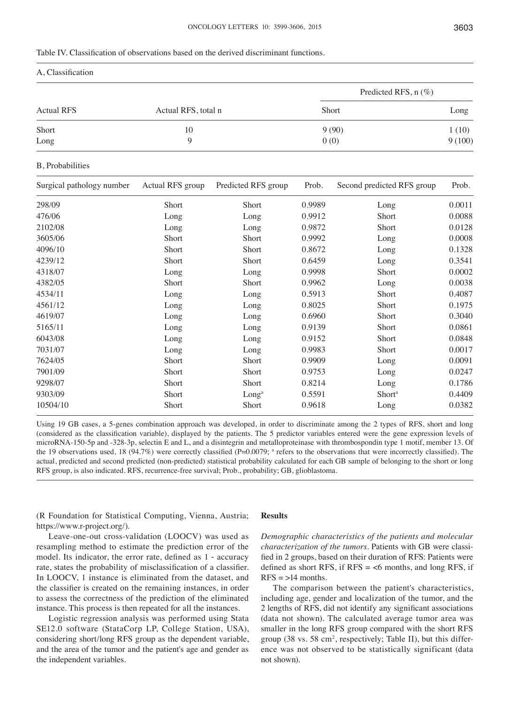## Table IV. Classification of observations based on the derived discriminant functions.

## A, Classification

|                   |                     | Predicted RFS, $n$ (%) |        |
|-------------------|---------------------|------------------------|--------|
| <b>Actual RFS</b> | Actual RFS, total n | Short                  | Long   |
| Short             | 10                  | 9(90)                  | 1(10)  |
| Long              | Q                   | 0(0)                   | 9(100) |

## B, Probabilities

-

| Surgical pathology number | Actual RFS group | Predicted RFS group | Prob.  | Second predicted RFS group | Prob.  |
|---------------------------|------------------|---------------------|--------|----------------------------|--------|
| 298/09                    | Short            | Short               | 0.9989 | Long                       | 0.0011 |
| 476/06                    | Long             | Long                | 0.9912 | Short                      | 0.0088 |
| 2102/08                   | Long             | Long                | 0.9872 | Short                      | 0.0128 |
| 3605/06                   | Short            | Short               | 0.9992 | Long                       | 0.0008 |
| 4096/10                   | Short            | Short               | 0.8672 | Long                       | 0.1328 |
| 4239/12                   | Short            | Short               | 0.6459 | Long                       | 0.3541 |
| 4318/07                   | Long             | Long                | 0.9998 | Short                      | 0.0002 |
| 4382/05                   | Short            | Short               | 0.9962 | Long                       | 0.0038 |
| 4534/11                   | Long             | Long                | 0.5913 | Short                      | 0.4087 |
| 4561/12                   | Long             | Long                | 0.8025 | Short                      | 0.1975 |
| 4619/07                   | Long             | Long                | 0.6960 | Short                      | 0.3040 |
| 5165/11                   | Long             | Long                | 0.9139 | Short                      | 0.0861 |
| 6043/08                   | Long             | Long                | 0.9152 | Short                      | 0.0848 |
| 7031/07                   | Long             | Long                | 0.9983 | Short                      | 0.0017 |
| 7624/05                   | Short            | Short               | 0.9909 | Long                       | 0.0091 |
| 7901/09                   | Short            | Short               | 0.9753 | Long                       | 0.0247 |
| 9298/07                   | Short            | Short               | 0.8214 | Long                       | 0.1786 |
| 9303/09                   | Short            | Long <sup>a</sup>   | 0.5591 | Short <sup>a</sup>         | 0.4409 |
| 10504/10                  | Short            | Short               | 0.9618 | Long                       | 0.0382 |

Using 19 GB cases, a 5-genes combination approach was developed, in order to discriminate among the 2 types of RFS, short and long (considered as the classification variable), displayed by the patients. The 5 predictor variables entered were the gene expression levels of microRNA-150-5p and -328-3p, selectin E and L, and a disintegrin and metalloproteinase with thrombospondin type 1 motif, member 13. Of the 19 observations used, 18 (94.7%) were correctly classified (P=0.0079; <sup>a</sup> refers to the observations that were incorrectly classified). The actual, predicted and second predicted (non-predicted) statistical probability calculated for each GB sample of belonging to the short or long RFS group, is also indicated. RFS, recurrence-free survival; Prob., probability; GB, glioblastoma.

(R Foundation for Statistical Computing, Vienna, Austria; https://www.r-project.org/).

## **Results**

Leave-one-out cross-validation (LOOCV) was used as resampling method to estimate the prediction error of the model. Its indicator, the error rate, defined as 1 ‑ accuracy rate, states the probability of misclassification of a classifier. In LOOCV, 1 instance is eliminated from the dataset, and the classifier is created on the remaining instances, in order to assess the correctness of the prediction of the eliminated instance. This process is then repeated for all the instances.

Logistic regression analysis was performed using Stata SE12.0 software (StataCorp LP, College Station, USA), considering short/long RFS group as the dependent variable, and the area of the tumor and the patient's age and gender as the independent variables.

*Demographic characteristics of the patients and molecular characterization of the tumors.* Patients with GB were classified in 2 groups, based on their duration of RFS: Patients were defined as short RFS, if  $RFS = \textless 6$  months, and long RFS, if  $RFS = >14$  months.

The comparison between the patient's characteristics, including age, gender and localization of the tumor, and the 2 lengths of RFS, did not identify any significant associations (data not shown). The calculated average tumor area was smaller in the long RFS group compared with the short RFS group (38 vs. 58  $\text{cm}^2$ , respectively; Table II), but this difference was not observed to be statistically significant (data not shown).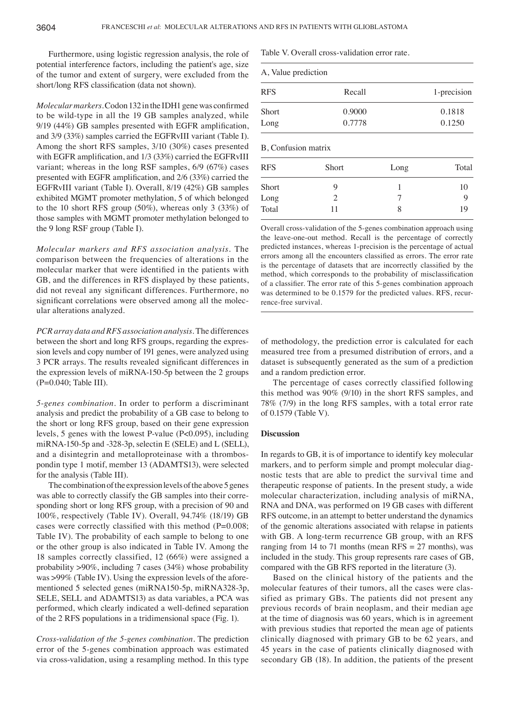Furthermore, using logistic regression analysis, the role of potential interference factors, including the patient's age, size of the tumor and extent of surgery, were excluded from the short/long RFS classification (data not shown).

*Molecular markers.* Codon 132 in the IDH1 gene was confirmed to be wild-type in all the 19 GB samples analyzed, while 9/19 (44%) GB samples presented with EGFR amplification, and 3/9 (33%) samples carried the EGFRvIII variant (Table I). Among the short RFS samples, 3/10 (30%) cases presented with EGFR amplification, and 1/3 (33%) carried the EGFRvIII variant; whereas in the long RSF samples, 6/9 (67%) cases presented with EGFR amplification, and 2/6 (33%) carried the EGFRvIII variant (Table I). Overall, 8/19 (42%) GB samples exhibited MGMT promoter methylation, 5 of which belonged to the 10 short RFS group (50%), whereas only 3 (33%) of those samples with MGMT promoter methylation belonged to the 9 long RSF group (Table I).

*Molecular markers and RFS association analysis.* The comparison between the frequencies of alterations in the molecular marker that were identified in the patients with GB, and the differences in RFS displayed by these patients, did not reveal any significant differences. Furthermore, no significant correlations were observed among all the molecular alterations analyzed.

*PCR array data and RFS association analysis.* The differences between the short and long RFS groups, regarding the expression levels and copy number of 191 genes, were analyzed using 3 PCR arrays. The results revealed significant differences in the expression levels of miRNA-150-5p between the 2 groups (P=0.040; Table III).

*5*-*genes combination.* In order to perform a discriminant analysis and predict the probability of a GB case to belong to the short or long RFS group, based on their gene expression levels, 5 genes with the lowest P-value (P<0.095), including miRNA-150-5p and -328-3p, selectin E (SELE) and L (SELL), and a disintegrin and metalloproteinase with a thrombospondin type 1 motif, member 13 (ADAMTS13), were selected for the analysis (Table III).

The combination of the expression levels of the above 5 genes was able to correctly classify the GB samples into their corresponding short or long RFS group, with a precision of 90 and 100%, respectively (Table IV). Overall, 94.74% (18/19) GB cases were correctly classified with this method  $(P=0.008;$ Table IV). The probability of each sample to belong to one or the other group is also indicated in Table IV. Among the 18 samples correctly classified, 12 (66%) were assigned a probability >90%, including 7 cases (34%) whose probability was >99% (Table IV). Using the expression levels of the aforementioned 5 selected genes (miRNA150-5p, miRNA328-3p, SELE, SELL and ADAMTS13) as data variables, a PCA was performed, which clearly indicated a well‑defined separation of the 2 RFS populations in a tridimensional space (Fig. 1).

*Cross*-*validation of the 5*-*genes combination.* The prediction error of the 5-genes combination approach was estimated via cross-validation, using a resampling method. In this type

Table V. Overall cross-validation error rate.

| 11, value prediction |                  |                  |  |  |  |
|----------------------|------------------|------------------|--|--|--|
| <b>RFS</b>           | Recall           | 1-precision      |  |  |  |
| <b>Short</b><br>Long | 0.9000<br>0.7778 | 0.1818<br>0.1250 |  |  |  |

B, Confusion matrix

A, Value prediction

| <b>RFS</b>    | <b>Short</b> | Long | Total |
|---------------|--------------|------|-------|
| Short         | 9            |      | 10    |
|               | 2            |      | 9     |
| Long<br>Total | 11           | x    | 19    |

Overall cross-validation of the 5-genes combination approach using the leave-one-out method. Recall is the percentage of correctly predicted instances, whereas 1-precision is the percentage of actual errors among all the encounters classified as errors. The error rate is the percentage of datasets that are incorrectly classified by the method, which corresponds to the probability of misclassification of a classifier. The error rate of this 5-genes combination approach was determined to be 0.1579 for the predicted values. RFS, recurrence-free survival.

of methodology, the prediction error is calculated for each measured tree from a presumed distribution of errors, and a dataset is subsequently generated as the sum of a prediction and a random prediction error.

The percentage of cases correctly classified following this method was 90% (9/10) in the short RFS samples, and 78% (7/9) in the long RFS samples, with a total error rate of 0.1579 (Table V).

## **Discussion**

f

In regards to GB, it is of importance to identify key molecular markers, and to perform simple and prompt molecular diagnostic tests that are able to predict the survival time and therapeutic response of patients. In the present study, a wide molecular characterization, including analysis of miRNA, RNA and DNA, was performed on 19 GB cases with different RFS outcome, in an attempt to better understand the dynamics of the genomic alterations associated with relapse in patients with GB. A long-term recurrence GB group, with an RFS ranging from 14 to 71 months (mean  $RFS = 27$  months), was included in the study. This group represents rare cases of GB, compared with the GB RFS reported in the literature (3).

Based on the clinical history of the patients and the molecular features of their tumors, all the cases were classified as primary GBs. The patients did not present any previous records of brain neoplasm, and their median age at the time of diagnosis was 60 years, which is in agreement with previous studies that reported the mean age of patients clinically diagnosed with primary GB to be 62 years, and 45 years in the case of patients clinically diagnosed with secondary GB (18). In addition, the patients of the present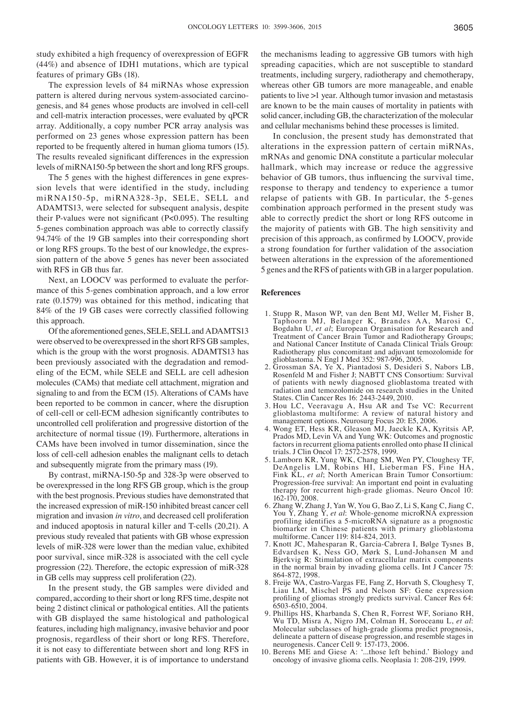study exhibited a high frequency of overexpression of EGFR (44%) and absence of IDH1 mutations, which are typical features of primary GBs (18).

The expression levels of 84 miRNAs whose expression pattern is altered during nervous system-associated carcinogenesis, and 84 genes whose products are involved in cell-cell and cell-matrix interaction processes, were evaluated by qPCR array. Additionally, a copy number PCR array analysis was performed on 23 genes whose expression pattern has been reported to be frequently altered in human glioma tumors (15). The results revealed significant differences in the expression levels of miRNA150-5p between the short and long RFS groups.

The 5 genes with the highest differences in gene expression levels that were identified in the study, including miRNA150-5p, miRNA328-3p, SELE, SELL and ADAMTS13, were selected for subsequent analysis, despite their P-values were not significant (P<0.095). The resulting 5-genes combination approach was able to correctly classify 94.74% of the 19 GB samples into their corresponding short or long RFS groups. To the best of our knowledge, the expression pattern of the above 5 genes has never been associated with RFS in GB thus far.

Next, an LOOCV was performed to evaluate the performance of this 5-genes combination approach, and a low error rate (0.1579) was obtained for this method, indicating that 84% of the 19 GB cases were correctly classified following this approach.

Of the aforementioned genes, SELE, SELL and ADAMTS13 were observed to be overexpressed in the short RFS GB samples, which is the group with the worst prognosis. ADAMTS13 has been previously associated with the degradation and remodeling of the ECM, while SELE and SELL are cell adhesion molecules (CAMs) that mediate cell attachment, migration and signaling to and from the ECM (15). Alterations of CAMs have been reported to be common in cancer, where the disruption of cell-cell or cell-ECM adhesion significantly contributes to uncontrolled cell proliferation and progressive distortion of the architecture of normal tissue (19). Furthermore, alterations in CAMs have been involved in tumor dissemination, since the loss of cell-cell adhesion enables the malignant cells to detach and subsequently migrate from the primary mass (19).

By contrast, miRNA-150-5p and 328-3p were observed to be overexpressed in the long RFS GB group, which is the group with the best prognosis. Previous studies have demonstrated that the increased expression of miR-150 inhibited breast cancer cell migration and invasion *in vitro*, and decreased cell proliferation and induced apoptosis in natural killer and T-cells (20,21). A previous study revealed that patients with GB whose expression levels of miR-328 were lower than the median value, exhibited poor survival, since miR-328 is associated with the cell cycle progression (22). Therefore, the ectopic expression of miR-328 in GB cells may suppress cell proliferation (22).

In the present study, the GB samples were divided and compared, according to their short or long RFS time, despite not being 2 distinct clinical or pathological entities. All the patients with GB displayed the same histological and pathological features, including high malignancy, invasive behavior and poor prognosis, regardless of their short or long RFS. Therefore, it is not easy to differentiate between short and long RFS in patients with GB. However, it is of importance to understand

the mechanisms leading to aggressive GB tumors with high spreading capacities, which are not susceptible to standard treatments, including surgery, radiotherapy and chemotherapy, whereas other GB tumors are more manageable, and enable patients to live >1 year. Although tumor invasion and metastasis are known to be the main causes of mortality in patients with solid cancer, including GB, the characterization of the molecular and cellular mechanisms behind these processes is limited.

In conclusion, the present study has demonstrated that alterations in the expression pattern of certain miRNAs, mRNAs and genomic DNA constitute a particular molecular hallmark, which may increase or reduce the aggressive behavior of GB tumors, thus influencing the survival time, response to therapy and tendency to experience a tumor relapse of patients with GB. In particular, the 5-genes combination approach performed in the present study was able to correctly predict the short or long RFS outcome in the majority of patients with GB. The high sensitivity and precision of this approach, as confirmed by LOOCV, provide a strong foundation for further validation of the association between alterations in the expression of the aforementioned 5 genes and the RFS of patients with GB in a larger population.

#### **References**

- 1. Stupp R, Mason WP, van den Bent MJ, Weller M, Fisher B, Taphoorn MJ, Belanger K, Brandes AA, Marosi C, Bogdahn U, *et al*; European Organisation for Research and Treatment of Cancer Brain Tumor and Radiotherapy Groups; and National Cancer Institute of Canada Clinical Trials Group: Radiotherapy plus concomitant and adjuvant temozolomide for glioblastoma. N Engl J Med 352: 987-996, 2005.
- 2. Grossman SA, Ye X, Piantadosi S, Desideri S, Nabors LB, Rosenfeld M and Fisher J; NABTT CNS Consortium: Survival of patients with newly diagnosed glioblastoma treated with radiation and temozolomide on research studies in the United States. Clin Cancer Res 16: 2443-2449, 2010.
- 3. Hou LC, Veeravagu A, Hsu AR and Tse VC: Recurrent glioblastoma multiforme: A review of natural history and management options. Neurosurg Focus 20: E5, 2006.
- 4. Wong ET, Hess KR, Gleason MJ, Jaeckle KA, Kyritsis AP, Prados MD, Levin VA and Yung WK: Outcomes and prognostic factors in recurrent glioma patients enrolled onto phase II clinical trials. J Clin Oncol 17: 2572-2578, 1999.
- 5. Lamborn KR, Yung WK, Chang SM, Wen PY, Cloughesy TF, DeAngelis LM, Robins HI, Lieberman FS, Fine HA, Fink KL, *et al*; North American Brain Tumor Consortium: Progression-free survival: An important end point in evaluating therapy for recurrent high-grade gliomas. Neuro Oncol 10: 162-170, 2008.
- 6. Zhang W, Zhang J, Yan W, You G, Bao Z, Li S, Kang C, Jiang C, You Y, Zhang Y, *et al*: Whole-genome microRNA expression profiling identifies a 5-microRNA signature as a prognostic biomarker in Chinese patients with primary glioblastoma multiforme. Cancer 119: 814-824, 2013.
- 7. Knott JC, Mahesparan R, Garcia-Cabrera I, Bølge Tysnes B, Edvardsen K, Ness GO, Mørk S, Lund-Johansen M and Bjerkvig R: Stimulation of extracellular matrix components in the normal brain by invading glioma cells. Int J Cancer 75: 864-872, 1998.
- 8. Freije WA, Castro-Vargas FE, Fang Z, Horvath S, Cloughesy T, Liau LM, Mischel PS and Nelson SF: Gene expression profiling of gliomas strongly predicts survival. Cancer Res 64: 6503-6510, 2004.
- 9. Phillips HS, Kharbanda S, Chen R, Forrest WF, Soriano RH, Wu TD, Misra A, Nigro JM, Colman H, Soroceanu L, *et al*: Molecular subclasses of high-grade glioma predict prognosis, delineate a pattern of disease progression, and resemble stages in neurogenesis. Cancer Cell 9: 157-173, 2006.
- 10. Berens ME and Giese A: '...those left behind.' Biology and oncology of invasive glioma cells. Neoplasia 1: 208-219, 1999.